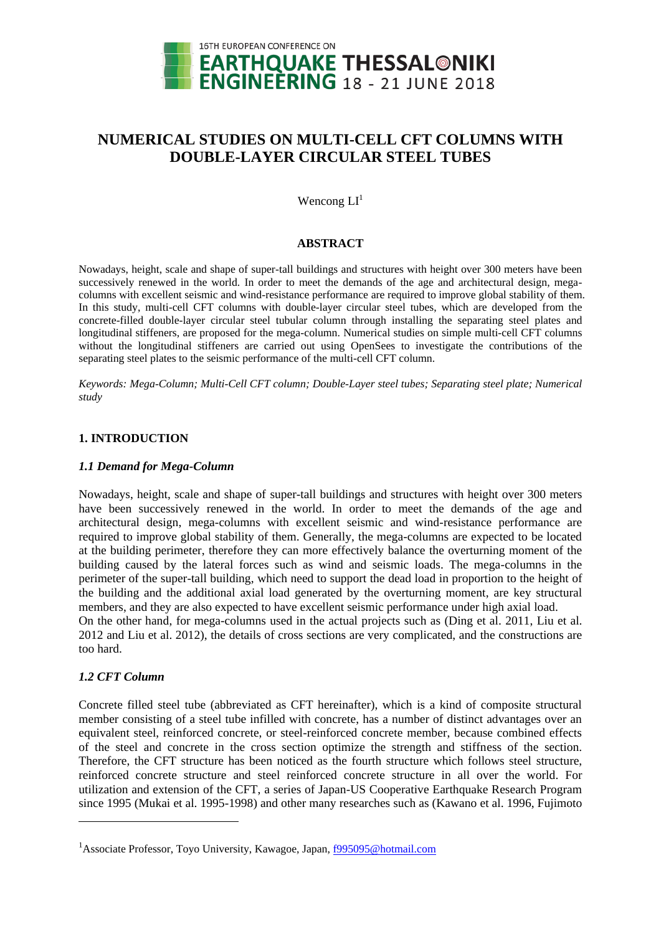

# **NUMERICAL STUDIES ON MULTI-CELL CFT COLUMNS WITH DOUBLE-LAYER CIRCULAR STEEL TUBES**

Wencong  $LI<sup>1</sup>$ 

# **ABSTRACT**

Nowadays, height, scale and shape of super-tall buildings and structures with height over 300 meters have been successively renewed in the world. In order to meet the demands of the age and architectural design, megacolumns with excellent seismic and wind-resistance performance are required to improve global stability of them. In this study, multi-cell CFT columns with double-layer circular steel tubes, which are developed from the concrete-filled double-layer circular steel tubular column through installing the separating steel plates and longitudinal stiffeners, are proposed for the mega-column. Numerical studies on simple multi-cell CFT columns without the longitudinal stiffeners are carried out using OpenSees to investigate the contributions of the separating steel plates to the seismic performance of the multi-cell CFT column.

*Keywords: Mega-Column; Multi-Cell CFT column; Double-Layer steel tubes; Separating steel plate; Numerical study*

# **1. INTRODUCTION**

# *1.1 Demand for Mega-Column*

Nowadays, height, scale and shape of super-tall buildings and structures with height over 300 meters have been successively renewed in the world. In order to meet the demands of the age and architectural design, mega-columns with excellent seismic and wind-resistance performance are required to improve global stability of them. Generally, the mega-columns are expected to be located at the building perimeter, therefore they can more effectively balance the overturning moment of the building caused by the lateral forces such as wind and seismic loads. The mega-columns in the perimeter of the super-tall building, which need to support the dead load in proportion to the height of the building and the additional axial load generated by the overturning moment, are key structural members, and they are also expected to have excellent seismic performance under high axial load. On the other hand, for mega-columns used in the actual projects such as (Ding et al. 2011, Liu et al. 2012 and Liu et al. 2012), the details of cross sections are very complicated, and the constructions are too hard.

# *1.2 CFT Column*

1

Concrete filled steel tube (abbreviated as CFT hereinafter), which is a kind of composite structural member consisting of a steel tube infilled with concrete, has a number of distinct advantages over an equivalent steel, reinforced concrete, or steel-reinforced concrete member, because combined effects of the steel and concrete in the cross section optimize the strength and stiffness of the section. Therefore, the CFT structure has been noticed as the fourth structure which follows steel structure, reinforced concrete structure and steel reinforced concrete structure in all over the world. For utilization and extension of the CFT, a series of Japan-US Cooperative Earthquake Research Program since 1995 (Mukai et al. 1995-1998) and other many researches such as (Kawano et al. 1996, Fujimoto

<sup>&</sup>lt;sup>1</sup>Associate Professor, Toyo University, Kawagoe, Japan, [f995095@hotmail.com](mailto:liwencong@fukuoka-u.ac.jp)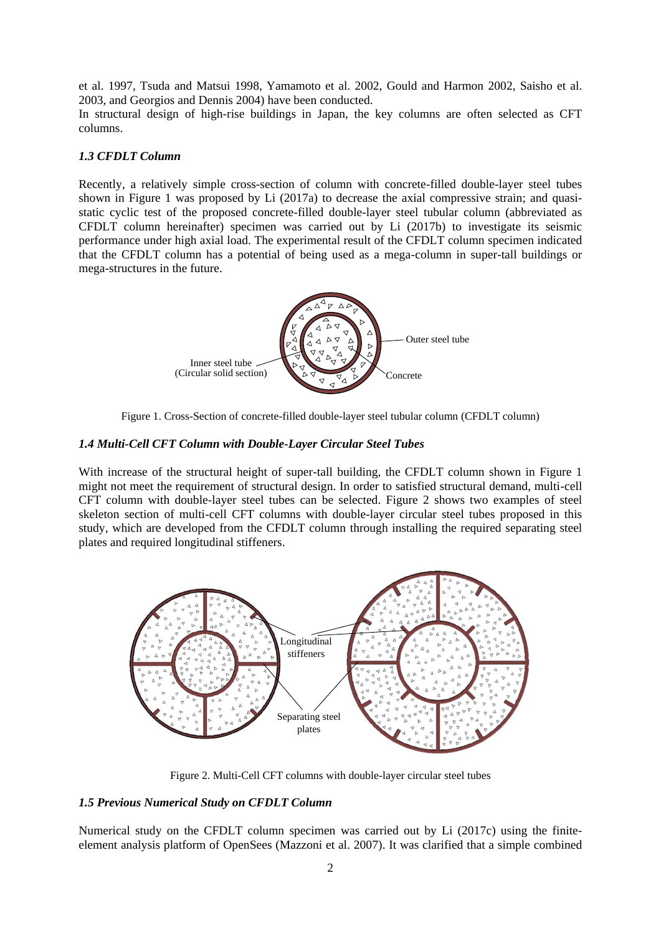et al. 1997, Tsuda and Matsui 1998, Yamamoto et al. 2002, Gould and Harmon 2002, Saisho et al. 2003, and Georgios and Dennis 2004) have been conducted.

In structural design of high-rise buildings in Japan, the key columns are often selected as CFT columns.

## *1.3 CFDLT Column*

Recently, a relatively simple cross-section of column with concrete-filled double-layer steel tubes shown in Figure 1 was proposed by Li (2017a) to decrease the axial compressive strain; and quasistatic cyclic test of the proposed concrete-filled double-layer steel tubular column (abbreviated as CFDLT column hereinafter) specimen was carried out by Li (2017b) to investigate its seismic performance under high axial load. The experimental result of the CFDLT column specimen indicated that the CFDLT column has a potential of being used as a mega-column in super-tall buildings or mega-structures in the future.



Figure 1. Cross-Section of concrete-filled double-layer steel tubular column (CFDLT column)

# *1.4 Multi-Cell CFT Column with Double-Layer Circular Steel Tubes*

With increase of the structural height of super-tall building, the CFDLT column shown in Figure 1 might not meet the requirement of structural design. In order to satisfied structural demand, multi-cell CFT column with double-layer steel tubes can be selected. Figure 2 shows two examples of steel skeleton section of multi-cell CFT columns with double-layer circular steel tubes proposed in this study, which are developed from the CFDLT column through installing the required separating steel plates and required longitudinal stiffeners.



Figure 2. Multi-Cell CFT columns with double-layer circular steel tubes

### *1.5 Previous Numerical Study on CFDLT Column*

Numerical study on the CFDLT column specimen was carried out by Li (2017c) using the finiteelement analysis platform of OpenSees (Mazzoni et al. 2007). It was clarified that a simple combined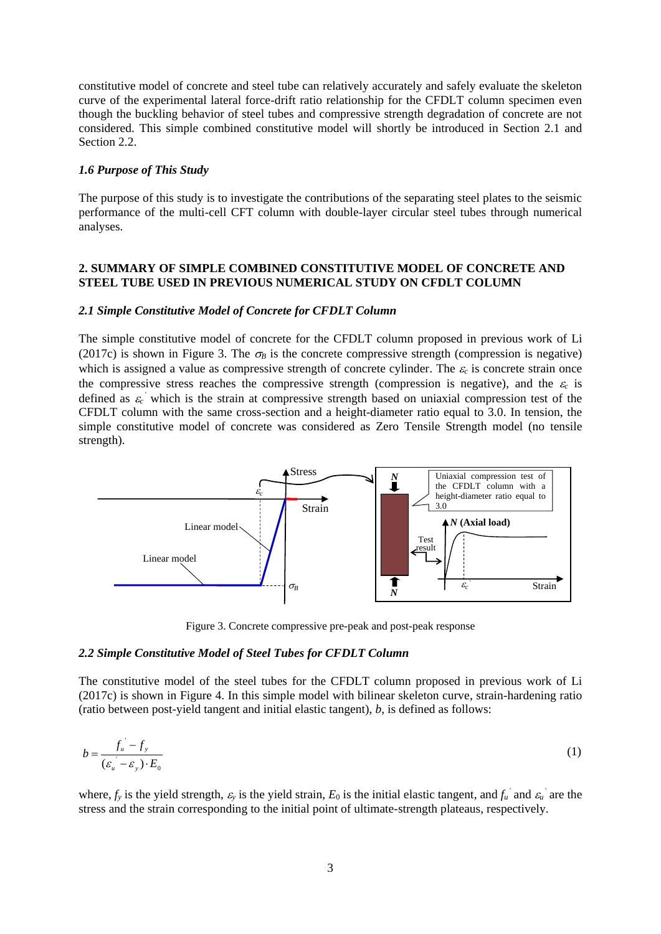constitutive model of concrete and steel tube can relatively accurately and safely evaluate the skeleton curve of the experimental lateral force-drift ratio relationship for the CFDLT column specimen even though the buckling behavior of steel tubes and compressive strength degradation of concrete are not considered. This simple combined constitutive model will shortly be introduced in Section 2.1 and Section 2.2.

## *1.6 Purpose of This Study*

The purpose of this study is to investigate the contributions of the separating steel plates to the seismic performance of the multi-cell CFT column with double-layer circular steel tubes through numerical analyses.

## **2. SUMMARY OF SIMPLE COMBINED CONSTITUTIVE MODEL OF CONCRETE AND STEEL TUBE USED IN PREVIOUS NUMERICAL STUDY ON CFDLT COLUMN**

## *2.1 Simple Constitutive Model of Concrete for CFDLT Column*

The simple constitutive model of concrete for the CFDLT column proposed in previous work of Li (2017c) is shown in Figure 3. The  $\sigma_B$  is the concrete compressive strength (compression is negative) which is assigned a value as compressive strength of concrete cylinder. The  $\varepsilon_c$  is concrete strain once the compressive stress reaches the compressive strength (compression is negative), and the  $\varepsilon_c$  is defined as  $\varepsilon_c$ <sup>'</sup> which is the strain at compressive strength based on uniaxial compression test of the CFDLT column with the same cross-section and a height-diameter ratio equal to 3.0. In tension, the simple constitutive model of concrete was considered as Zero Tensile Strength model (no tensile strength).



Figure 3. Concrete compressive pre-peak and post-peak response

## *2.2 Simple Constitutive Model of Steel Tubes for CFDLT Column*

The constitutive model of the steel tubes for the CFDLT column proposed in previous work of Li (2017c) is shown in Figure 4. In this simple model with bilinear skeleton curve, strain-hardening ratio (ratio between post-yield tangent and initial elastic tangent), *b*, is defined as follows:

$$
b = \frac{f_u - f_y}{(\varepsilon_u - \varepsilon_y) \cdot E_0} \tag{1}
$$

where,  $f_y$  is the yield strength,  $\varepsilon_y$  is the yield strain,  $E_0$  is the initial elastic tangent, and  $f'_u$  and  $\varepsilon_u$  are the stress and the strain corresponding to the initial point of ultimate-strength plateaus, respectively.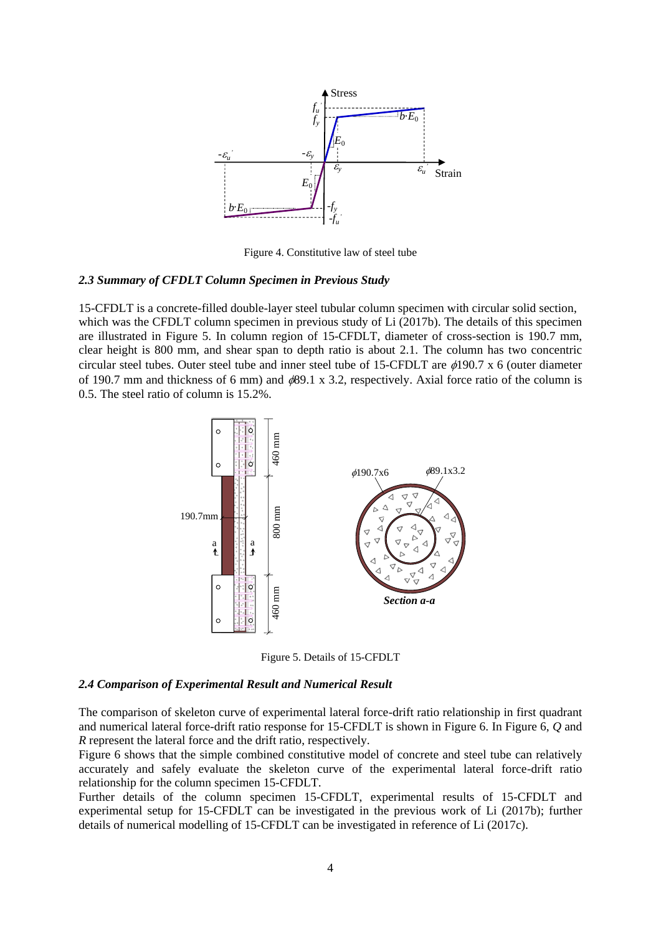

Figure 4. Constitutive law of steel tube

### *2.3 Summary of CFDLT Column Specimen in Previous Study*

15-CFDLT is a concrete-filled double-layer steel tubular column specimen with circular solid section, which was the CFDLT column specimen in previous study of Li (2017b). The details of this specimen are illustrated in Figure 5. In column region of 15-CFDLT, diameter of cross-section is 190.7 mm, clear height is 800 mm, and shear span to depth ratio is about 2.1. The column has two concentric circular steel tubes. Outer steel tube and inner steel tube of 15-CFDLT are  $\phi$ 190.7 x 6 (outer diameter of 190.7 mm and thickness of 6 mm) and  $\phi$ 89.1 x 3.2, respectively. Axial force ratio of the column is 0.5. The steel ratio of column is 15.2%.



Figure 5. Details of 15-CFDLT

## *2.4 Comparison of Experimental Result and Numerical Result*

The comparison of skeleton curve of experimental lateral force-drift ratio relationship in first quadrant and numerical lateral force-drift ratio response for 15-CFDLT is shown in Figure 6. In Figure 6, *Q* and *R* represent the lateral force and the drift ratio, respectively.

Figure 6 shows that the simple combined constitutive model of concrete and steel tube can relatively accurately and safely evaluate the skeleton curve of the experimental lateral force-drift ratio relationship for the column specimen 15-CFDLT.

Further details of the column specimen 15-CFDLT, experimental results of 15-CFDLT and experimental setup for 15-CFDLT can be investigated in the previous work of Li (2017b); further details of numerical modelling of 15-CFDLT can be investigated in reference of Li (2017c).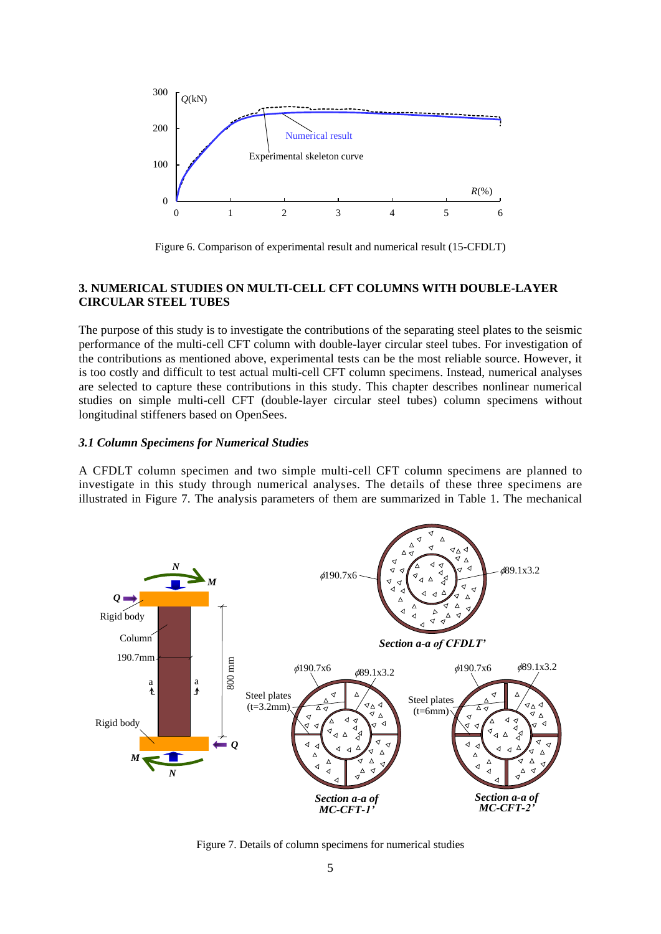

Figure 6. Comparison of experimental result and numerical result (15-CFDLT)

## **3. NUMERICAL STUDIES ON MULTI-CELL CFT COLUMNS WITH DOUBLE-LAYER CIRCULAR STEEL TUBES**

The purpose of this study is to investigate the contributions of the separating steel plates to the seismic performance of the multi-cell CFT column with double-layer circular steel tubes. For investigation of the contributions as mentioned above, experimental tests can be the most reliable source. However, it is too costly and difficult to test actual multi-cell CFT column specimens. Instead, numerical analyses are selected to capture these contributions in this study. This chapter describes nonlinear numerical studies on simple multi-cell CFT (double-layer circular steel tubes) column specimens without longitudinal stiffeners based on OpenSees.

# *3.1 Column Specimens for Numerical Studies*

A CFDLT column specimen and two simple multi-cell CFT column specimens are planned to investigate in this study through numerical analyses. The details of these three specimens are illustrated in Figure 7. The analysis parameters of them are summarized in Table 1. The mechanical

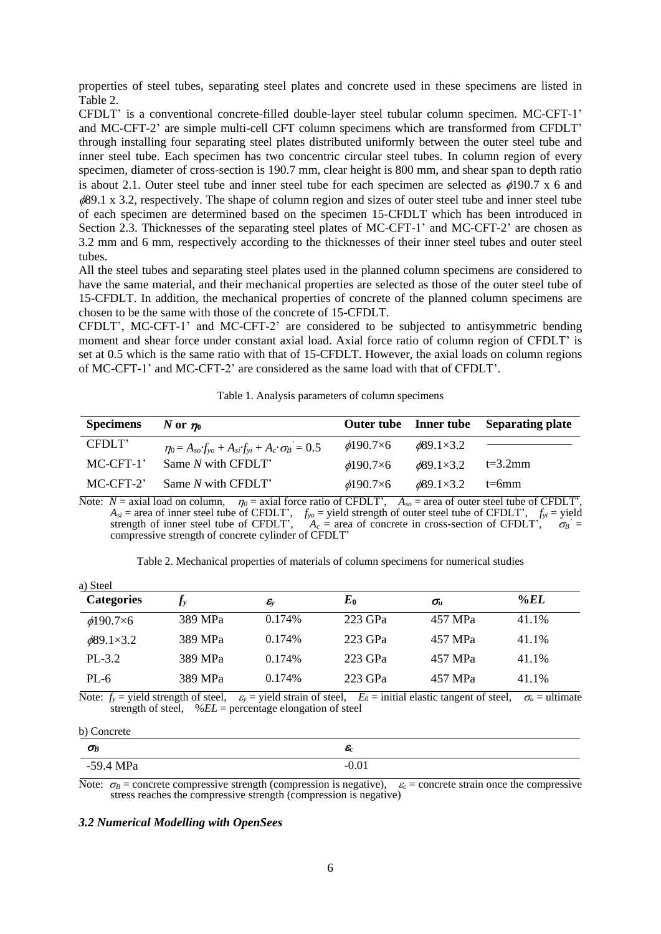properties of steel tubes, separating steel plates and concrete used in these specimens are listed in Table 2.

CFDLT' is a conventional concrete-filled double-layer steel tubular column specimen. MC-CFT-1' and MC-CFT-2' are simple multi-cell CFT column specimens which are transformed from CFDLT' through installing four separating steel plates distributed uniformly between the outer steel tube and inner steel tube. Each specimen has two concentric circular steel tubes. In column region of every specimen, diameter of cross-section is 190.7 mm, clear height is 800 mm, and shear span to depth ratio is about 2.1. Outer steel tube and inner steel tube for each specimen are selected as  $\phi$ 190.7 x 6 and  $\phi$ 89.1 x 3.2, respectively. The shape of column region and sizes of outer steel tube and inner steel tube of each specimen are determined based on the specimen 15-CFDLT which has been introduced in Section 2.3. Thicknesses of the separating steel plates of MC-CFT-1' and MC-CFT-2' are chosen as 3.2 mm and 6 mm, respectively according to the thicknesses of their inner steel tubes and outer steel tubes.

All the steel tubes and separating steel plates used in the planned column specimens are considered to have the same material, and their mechanical properties are selected as those of the outer steel tube of 15-CFDLT. In addition, the mechanical properties of concrete of the planned column specimens are chosen to be the same with those of the concrete of 15-CFDLT.

CFDLT', MC-CFT-1' and MC-CFT-2' are considered to be subjected to antisymmetric bending moment and shear force under constant axial load. Axial force ratio of column region of CFDLT' is set at 0.5 which is the same ratio with that of 15-CFDLT. However, the axial loads on column regions of MC-CFT-1' and MC-CFT-2' are considered as the same load with that of CFDLT'.

| <b>Specimens</b> | N or $\eta_0$                                                 |                |                 | Outer tube Inner tube Separating plate |
|------------------|---------------------------------------------------------------|----------------|-----------------|----------------------------------------|
| CFDLT'           | $\eta_0 = A_{so} f_{vo} + A_{si} f_{vi} + A_c \sigma_B = 0.5$ | $\phi$ 190.7×6 | $\phi$ 89.1×3.2 |                                        |
| $MC-CFT-1'$      | Same N with CFDLT'                                            | $\phi$ 190.7×6 | $\phi$ 89.1×3.2 | $t=3.2$ mm                             |
| $MC-CFT-2$       | Same N with CFDLT'                                            | $\phi$ 190.7×6 | $\phi$ 89.1×3.2 | $t = 6$ mm                             |

Table 1. Analysis parameters of column specimens

Note:  $N =$  axial load on column,  $\eta_0 =$  axial force ratio of CFDLT',  $A_{so} =$  area of outer steel tube of CFDLT',  $A_{si}$  = area of inner steel tube of CFDLT',  $f_{yo}$  = yield strength of outer steel tube of CFDLT',  $f_{yi}$  = yield strength of inner steel tube of CFDLT',  $A_c$  = area of concrete in cross-section of CFDLT',  $\sigma_B$ ' = compressive strength of concrete cylinder of CFDLT'

| Table 2. Mechanical properties of materials of column specimens for numerical studies |  |  |  |
|---------------------------------------------------------------------------------------|--|--|--|
|                                                                                       |  |  |  |

| a) Steel          |         |                 |           |                                   |        |  |
|-------------------|---------|-----------------|-----------|-----------------------------------|--------|--|
| <b>Categories</b> | Īν      | $\mathcal{E}_v$ | $E_0$     | $\sigma_{\!\scriptscriptstyle H}$ | $\%EL$ |  |
| $\phi$ 190.7×6    | 389 MPa | 0.174%          | $223$ GPa | 457 MPa                           | 41.1%  |  |
| $\phi$ 89.1×3.2   | 389 MPa | 0.174\%         | $223$ GPa | 457 MPa                           | 41.1%  |  |
| $PL-3.2$          | 389 MPa | 0.174\%         | $223$ GPa | 457 MPa                           | 41.1%  |  |
| $PL-6$            | 389 MPa | 0.174%          | 223 GPa   | 457 MPa                           | 41.1%  |  |

Note:  $f_y$  = yield strength of steel,  $\varepsilon_y$  = yield strain of steel,  $E_0$  = initial elastic tangent of steel,  $\sigma_u$  = ultimate strength of steel,  $\%EL =$  percentage elongation of steel

| b) Concrete    |                       |  |
|----------------|-----------------------|--|
| $\sigma_{\!B}$ | $\pmb{\mathcal{E}}_c$ |  |
| -59.4 MPa      | $-0.01$               |  |

Note:  $\sigma_B$  = concrete compressive strength (compression is negative),  $\varepsilon$  = concrete strain once the compressive stress reaches the compressive strength (compression is negative)

## *3.2 Numerical Modelling with OpenSees*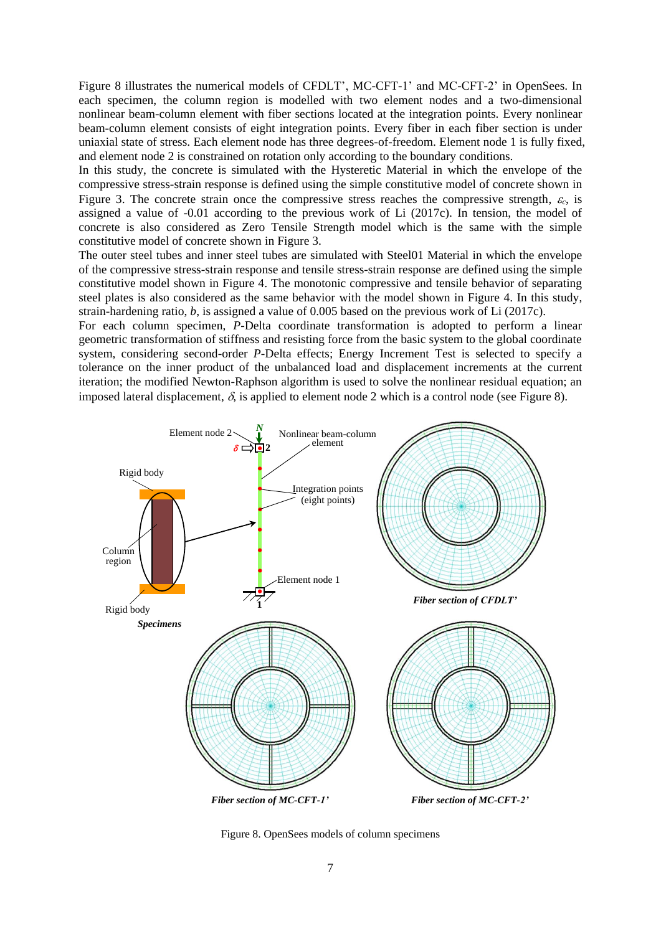Figure 8 illustrates the numerical models of CFDLT', MC-CFT-1' and MC-CFT-2' in OpenSees. In each specimen, the column region is modelled with two element nodes and a two-dimensional nonlinear beam-column element with fiber sections located at the integration points. Every nonlinear beam-column element consists of eight integration points. Every fiber in each fiber section is under uniaxial state of stress. Each element node has three degrees-of-freedom. Element node 1 is fully fixed, and element node 2 is constrained on rotation only according to the boundary conditions.

In this study, the concrete is simulated with the Hysteretic Material in which the envelope of the compressive stress-strain response is defined using the simple constitutive model of concrete shown in Figure 3. The concrete strain once the compressive stress reaches the compressive strength,  $\varepsilon_c$ , is assigned a value of -0.01 according to the previous work of Li (2017c). In tension, the model of concrete is also considered as Zero Tensile Strength model which is the same with the simple constitutive model of concrete shown in Figure 3.

The outer steel tubes and inner steel tubes are simulated with Steel01 Material in which the envelope of the compressive stress-strain response and tensile stress-strain response are defined using the simple constitutive model shown in Figure 4. The monotonic compressive and tensile behavior of separating steel plates is also considered as the same behavior with the model shown in Figure 4. In this study, strain-hardening ratio, *b*, is assigned a value of 0.005 based on the previous work of Li (2017c).

For each column specimen, *P*-Delta coordinate transformation is adopted to perform a linear geometric transformation of stiffness and resisting force from the basic system to the global coordinate system, considering second-order *P*-Delta effects; Energy Increment Test is selected to specify a tolerance on the inner product of the unbalanced load and displacement increments at the current iteration; the modified Newton-Raphson algorithm is used to solve the nonlinear residual equation; an imposed lateral displacement,  $\delta$ , is applied to element node 2 which is a control node (see Figure 8).



Figure 8. OpenSees models of column specimens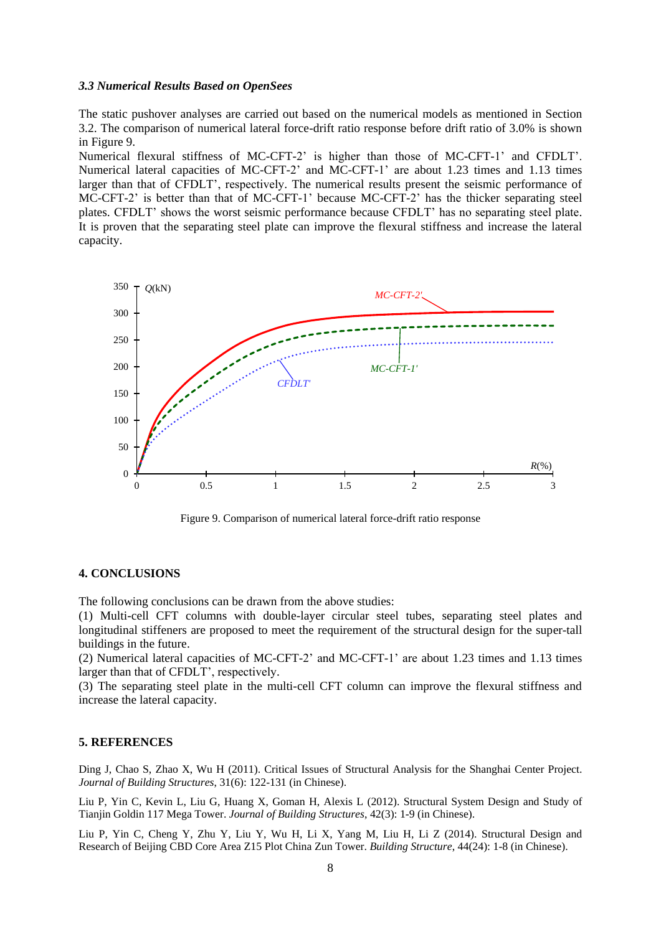### *3.3 Numerical Results Based on OpenSees*

The static pushover analyses are carried out based on the numerical models as mentioned in Section 3.2. The comparison of numerical lateral force-drift ratio response before drift ratio of 3.0% is shown in Figure 9.

Numerical flexural stiffness of MC-CFT-2' is higher than those of MC-CFT-1' and CFDLT'. Numerical lateral capacities of MC-CFT-2' and MC-CFT-1' are about 1.23 times and 1.13 times larger than that of CFDLT', respectively. The numerical results present the seismic performance of MC-CFT-2' is better than that of MC-CFT-1' because MC-CFT-2' has the thicker separating steel plates. CFDLT' shows the worst seismic performance because CFDLT' has no separating steel plate. It is proven that the separating steel plate can improve the flexural stiffness and increase the lateral capacity.



Figure 9. Comparison of numerical lateral force-drift ratio response

## **4. CONCLUSIONS**

The following conclusions can be drawn from the above studies:

(1) Multi-cell CFT columns with double-layer circular steel tubes, separating steel plates and longitudinal stiffeners are proposed to meet the requirement of the structural design for the super-tall buildings in the future.

(2) Numerical lateral capacities of MC-CFT-2' and MC-CFT-1' are about 1.23 times and 1.13 times larger than that of CFDLT', respectively.

(3) The separating steel plate in the multi-cell CFT column can improve the flexural stiffness and increase the lateral capacity.

### **5. REFERENCES**

Ding J, Chao S, Zhao X, Wu H (2011). Critical Issues of Structural Analysis for the Shanghai Center Project. *Journal of Building Structures*, 31(6): 122-131 (in Chinese).

Liu P, Yin C, Kevin L, Liu G, Huang X, Goman H, Alexis L (2012). Structural System Design and Study of Tianjin Goldin 117 Mega Tower. *Journal of Building Structures*, 42(3): 1-9 (in Chinese).

Liu P, Yin C, Cheng Y, Zhu Y, Liu Y, Wu H, Li X, Yang M, Liu H, Li Z (2014). Structural Design and Research of Beijing CBD Core Area Z15 Plot China Zun Tower. *Building Structure*, 44(24): 1-8 (in Chinese).